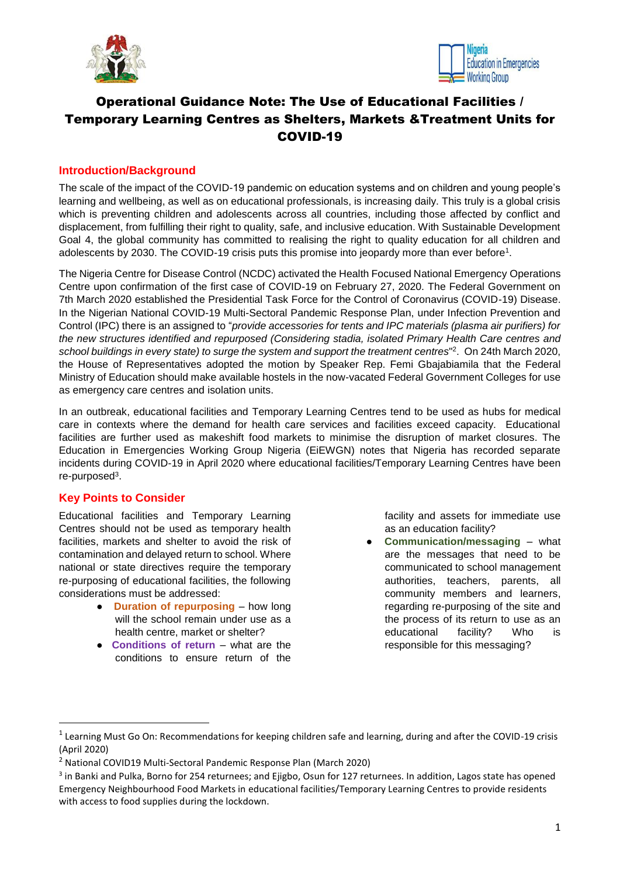



# Operational Guidance Note: The Use of Educational Facilities / Temporary Learning Centres as Shelters, Markets &Treatment Units for COVID-19

## **Introduction/Background**

The scale of the impact of the COVID-19 pandemic on education systems and on children and young people's learning and wellbeing, as well as on educational professionals, is increasing daily. This truly is a global crisis which is preventing children and adolescents across all countries, including those affected by conflict and displacement, from fulfilling their right to quality, safe, and inclusive education. With Sustainable Development Goal 4, the global community has committed to realising the right to quality education for all children and adolescents by 2030. The COVID-19 crisis puts this promise into jeopardy more than ever before<sup>1</sup>.

The Nigeria Centre for Disease Control (NCDC) activated the Health Focused National Emergency Operations Centre upon confirmation of the first case of COVID-19 on February 27, 2020. The Federal Government on 7th March 2020 established the Presidential Task Force for the Control of Coronavirus (COVID-19) Disease. In the Nigerian National COVID-19 Multi-Sectoral Pandemic Response Plan, under Infection Prevention and Control (IPC) there is an assigned to "*provide accessories for tents and IPC materials (plasma air purifiers) for the new structures identified and repurposed (Considering stadia, isolated Primary Health Care centres and*  school buildings in every state) to surge the system and support the treatment centres"<sup>2</sup>. On 24th March 2020, the House of Representatives adopted the motion by Speaker Rep. Femi Gbajabiamila that the Federal Ministry of Education should make available hostels in the now-vacated Federal Government Colleges for use as emergency care centres and isolation units.

In an outbreak, educational facilities and Temporary Learning Centres tend to be used as hubs for medical care in contexts where the demand for health care services and facilities exceed capacity. Educational facilities are further used as makeshift food markets to minimise the disruption of market closures. The Education in Emergencies Working Group Nigeria (EiEWGN) notes that Nigeria has recorded separate incidents during COVID-19 in April 2020 where educational facilities/Temporary Learning Centres have been re-purposed<sup>3</sup>.

## **Key Points to Consider**

**.** 

Educational facilities and Temporary Learning Centres should not be used as temporary health facilities, markets and shelter to avoid the risk of contamination and delayed return to school. Where national or state directives require the temporary re-purposing of educational facilities, the following considerations must be addressed:

- **Duration of repurposing** how long will the school remain under use as a health centre, market or shelter?
- **Conditions of return** what are the conditions to ensure return of the

facility and assets for immediate use as an education facility?

**Communication/messaging** – what are the messages that need to be communicated to school management authorities, teachers, parents, all community members and learners, regarding re-purposing of the site and the process of its return to use as an educational facility? Who is responsible for this messaging?

<sup>&</sup>lt;sup>1</sup> Learning Must Go On: Recommendations for keeping children safe and learning, during and after the COVID-19 crisis (April 2020)

<sup>2</sup> National COVID19 Multi-Sectoral Pandemic Response Plan (March 2020)

<sup>&</sup>lt;sup>3</sup> in Banki and Pulka, Borno for 254 returnees; and Ejigbo, Osun for 127 returnees. In addition, Lagos state has opened Emergency Neighbourhood Food Markets in educational facilities/Temporary Learning Centres to provide residents with access to food supplies during the lockdown.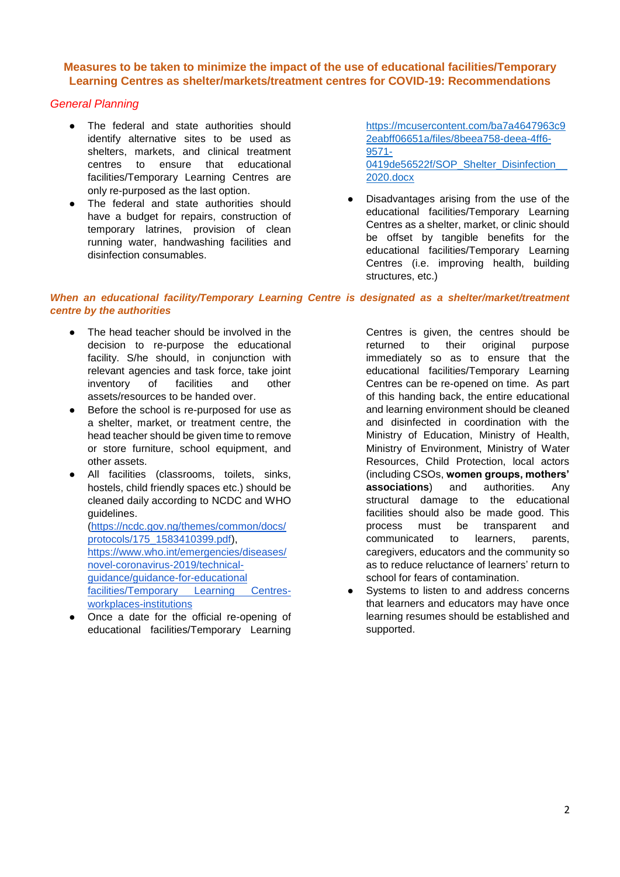## **Measures to be taken to minimize the impact of the use of educational facilities/Temporary Learning Centres as shelter/markets/treatment centres for COVID-19: Recommendations**

### *General Planning*

- The federal and state authorities should identify alternative sites to be used as shelters, markets, and clinical treatment centres to ensure that educational facilities/Temporary Learning Centres are only re-purposed as the last option.
- The federal and state authorities should have a budget for repairs, construction of temporary latrines, provision of clean running water, handwashing facilities and disinfection consumables.

[https://mcusercontent.com/ba7a4647963c9](https://mcusercontent.com/ba7a4647963c92eabff06651a/files/8beea758-deea-4ff6-9571-0419de56522f/SOP_Shelter_Disinfection__2020.docx) [2eabff06651a/files/8beea758-deea-4ff6-](https://mcusercontent.com/ba7a4647963c92eabff06651a/files/8beea758-deea-4ff6-9571-0419de56522f/SOP_Shelter_Disinfection__2020.docx) [9571-](https://mcusercontent.com/ba7a4647963c92eabff06651a/files/8beea758-deea-4ff6-9571-0419de56522f/SOP_Shelter_Disinfection__2020.docx) 0419de56522f/SOP\_Shelter\_Disinfection [2020.docx](https://mcusercontent.com/ba7a4647963c92eabff06651a/files/8beea758-deea-4ff6-9571-0419de56522f/SOP_Shelter_Disinfection__2020.docx)

Disadvantages arising from the use of the educational facilities/Temporary Learning Centres as a shelter, market, or clinic should be offset by tangible benefits for the educational facilities/Temporary Learning Centres (i.e. improving health, building structures, etc.)

### *When an educational facility/Temporary Learning Centre is designated as a shelter/market/treatment centre by the authorities*

- The head teacher should be involved in the decision to re-purpose the educational facility. S/he should, in conjunction with relevant agencies and task force, take joint inventory of facilities and other assets/resources to be handed over.
- Before the school is re-purposed for use as a shelter, market, or treatment centre, the head teacher should be given time to remove or store furniture, school equipment, and other assets.
- All facilities (classrooms, toilets, sinks, hostels, child friendly spaces etc.) should be cleaned daily according to NCDC and WHO guidelines.

[\(https://ncdc.gov.ng/themes/common/docs/](https://ncdc.gov.ng/themes/common/docs/protocols/175_1583410399.pdf) [protocols/175\\_1583410399.pdf\)](https://ncdc.gov.ng/themes/common/docs/protocols/175_1583410399.pdf), [https://www.who.int/emergencies/diseases/](https://www.who.int/emergencies/diseases/novel-coronavirus-2019/technical-guidance/guidance-for-schools-workplaces-institutions) [novel-coronavirus-2019/technical](https://www.who.int/emergencies/diseases/novel-coronavirus-2019/technical-guidance/guidance-for-schools-workplaces-institutions)[guidance/guidance-for-educational](https://www.who.int/emergencies/diseases/novel-coronavirus-2019/technical-guidance/guidance-for-schools-workplaces-institutions)  [facilities/Temporary Learning Centres](https://www.who.int/emergencies/diseases/novel-coronavirus-2019/technical-guidance/guidance-for-schools-workplaces-institutions)[workplaces-institutions](https://www.who.int/emergencies/diseases/novel-coronavirus-2019/technical-guidance/guidance-for-schools-workplaces-institutions)

Once a date for the official re-opening of educational facilities/Temporary Learning Centres is given, the centres should be returned to their original purpose immediately so as to ensure that the educational facilities/Temporary Learning Centres can be re-opened on time. As part of this handing back, the entire educational and learning environment should be cleaned and disinfected in coordination with the Ministry of Education, Ministry of Health, Ministry of Environment, Ministry of Water Resources, Child Protection, local actors (including CSOs, **women groups, mothers' associations**) and authorities. Any structural damage to the educational facilities should also be made good. This process must be transparent and communicated to learners, parents, caregivers, educators and the community so as to reduce reluctance of learners' return to school for fears of contamination.

Systems to listen to and address concerns that learners and educators may have once learning resumes should be established and supported.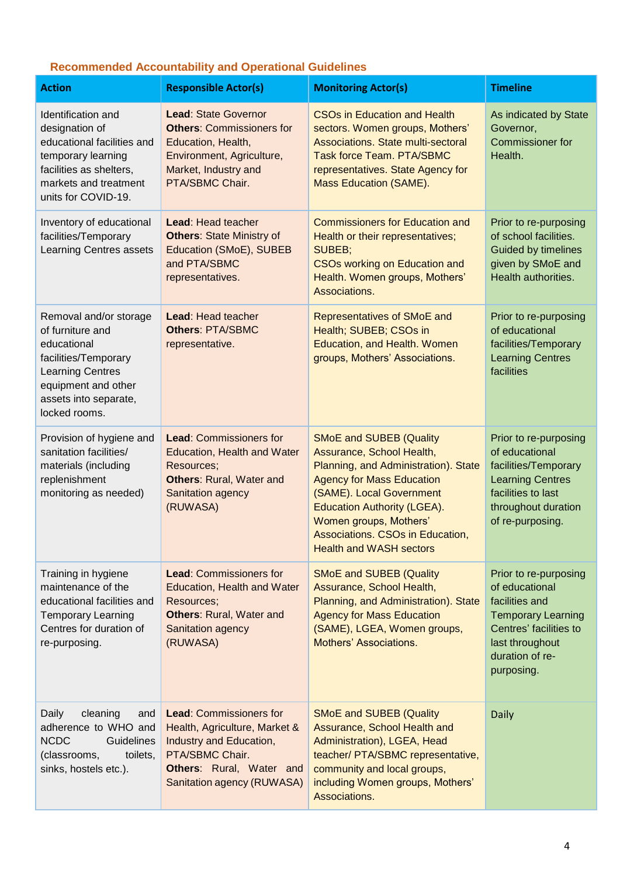# **Recommended Accountability and Operational Guidelines**

| <b>Action</b>                                                                                                                                                                 | <b>Responsible Actor(s)</b>                                                                                                                                             | <b>Monitoring Actor(s)</b>                                                                                                                                                                                                                                                                                | <b>Timeline</b>                                                                                                                                                      |
|-------------------------------------------------------------------------------------------------------------------------------------------------------------------------------|-------------------------------------------------------------------------------------------------------------------------------------------------------------------------|-----------------------------------------------------------------------------------------------------------------------------------------------------------------------------------------------------------------------------------------------------------------------------------------------------------|----------------------------------------------------------------------------------------------------------------------------------------------------------------------|
| Identification and<br>designation of<br>educational facilities and<br>temporary learning<br>facilities as shelters,<br>markets and treatment<br>units for COVID-19.           | <b>Lead: State Governor</b><br><b>Others: Commissioners for</b><br>Education, Health,<br>Environment, Agriculture,<br>Market, Industry and<br>PTA/SBMC Chair.           | <b>CSOs in Education and Health</b><br>sectors. Women groups, Mothers'<br>Associations. State multi-sectoral<br><b>Task force Team. PTA/SBMC</b><br>representatives. State Agency for<br>Mass Education (SAME).                                                                                           | As indicated by State<br>Governor,<br><b>Commissioner for</b><br>Health.                                                                                             |
| Inventory of educational<br>facilities/Temporary<br>Learning Centres assets                                                                                                   | Lead: Head teacher<br><b>Others: State Ministry of</b><br>Education (SMoE), SUBEB<br>and PTA/SBMC<br>representatives.                                                   | <b>Commissioners for Education and</b><br>Health or their representatives;<br>SUBEB;<br><b>CSOs working on Education and</b><br>Health. Women groups, Mothers'<br>Associations.                                                                                                                           | Prior to re-purposing<br>of school facilities.<br><b>Guided by timelines</b><br>given by SMoE and<br>Health authorities.                                             |
| Removal and/or storage<br>of furniture and<br>educational<br>facilities/Temporary<br><b>Learning Centres</b><br>equipment and other<br>assets into separate,<br>locked rooms. | Lead: Head teacher<br><b>Others: PTA/SBMC</b><br>representative.                                                                                                        | <b>Representatives of SMoE and</b><br>Health; SUBEB; CSOs in<br>Education, and Health. Women<br>groups, Mothers' Associations.                                                                                                                                                                            | Prior to re-purposing<br>of educational<br>facilities/Temporary<br><b>Learning Centres</b><br>facilities                                                             |
| Provision of hygiene and<br>sanitation facilities/<br>materials (including<br>replenishment<br>monitoring as needed)                                                          | <b>Lead: Commissioners for</b><br><b>Education, Health and Water</b><br>Resources;<br><b>Others: Rural, Water and</b><br>Sanitation agency<br>(RUWASA)                  | <b>SMoE and SUBEB (Quality</b><br>Assurance, School Health,<br>Planning, and Administration). State<br><b>Agency for Mass Education</b><br>(SAME). Local Government<br><b>Education Authority (LGEA).</b><br>Women groups, Mothers'<br>Associations. CSOs in Education,<br><b>Health and WASH sectors</b> | Prior to re-purposing<br>of educational<br>facilities/Temporary<br><b>Learning Centres</b><br>facilities to last<br>throughout duration<br>of re-purposing.          |
| Training in hygiene<br>maintenance of the<br>educational facilities and<br><b>Temporary Learning</b><br>Centres for duration of<br>re-purposing.                              | <b>Lead: Commissioners for</b><br>Education, Health and Water<br>Resources;<br><b>Others: Rural, Water and</b><br>Sanitation agency<br>(RUWASA)                         | <b>SMoE and SUBEB (Quality</b><br>Assurance, School Health,<br>Planning, and Administration). State<br><b>Agency for Mass Education</b><br>(SAME), LGEA, Women groups,<br>Mothers' Associations.                                                                                                          | Prior to re-purposing<br>of educational<br>facilities and<br><b>Temporary Learning</b><br>Centres' facilities to<br>last throughout<br>duration of re-<br>purposing. |
| Daily<br>cleaning<br>and<br>adherence to WHO and<br><b>NCDC</b><br>Guidelines<br>(classrooms,<br>toilets,<br>sinks, hostels etc.).                                            | <b>Lead: Commissioners for</b><br>Health, Agriculture, Market &<br>Industry and Education,<br>PTA/SBMC Chair.<br>Others: Rural, Water and<br>Sanitation agency (RUWASA) | <b>SMoE and SUBEB (Quality</b><br>Assurance, School Health and<br>Administration), LGEA, Head<br>teacher/ PTA/SBMC representative,<br>community and local groups,<br>including Women groups, Mothers'<br>Associations.                                                                                    | <b>Daily</b>                                                                                                                                                         |